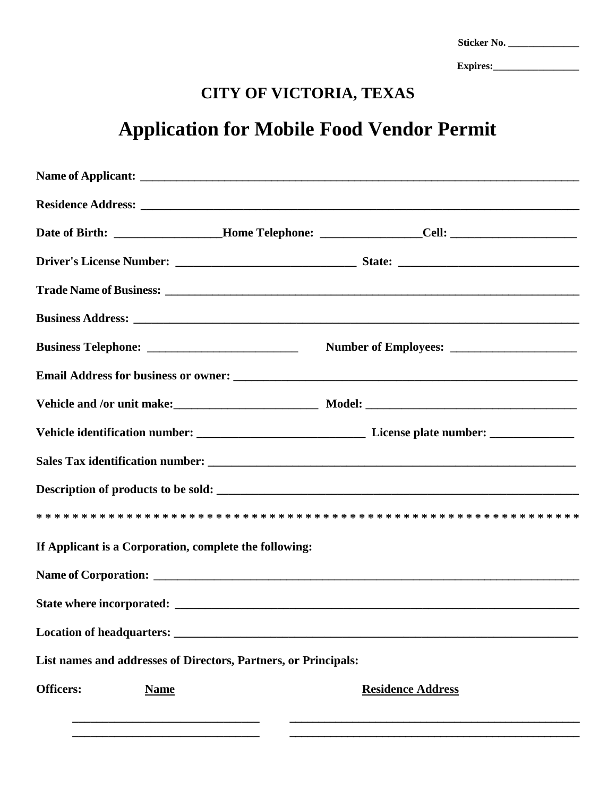| Sticker No. |  |
|-------------|--|
| Expires:    |  |

## **CITY OF VICTORIA, TEXAS**

## **Application for Mobile Food Vendor Permit**

|                  | If Applicant is a Corporation, complete the following:          |  |                          |
|------------------|-----------------------------------------------------------------|--|--------------------------|
|                  |                                                                 |  |                          |
|                  |                                                                 |  |                          |
|                  |                                                                 |  |                          |
|                  | List names and addresses of Directors, Partners, or Principals: |  |                          |
| <b>Officers:</b> | <b>Name</b>                                                     |  | <b>Residence Address</b> |
|                  |                                                                 |  |                          |
|                  |                                                                 |  |                          |